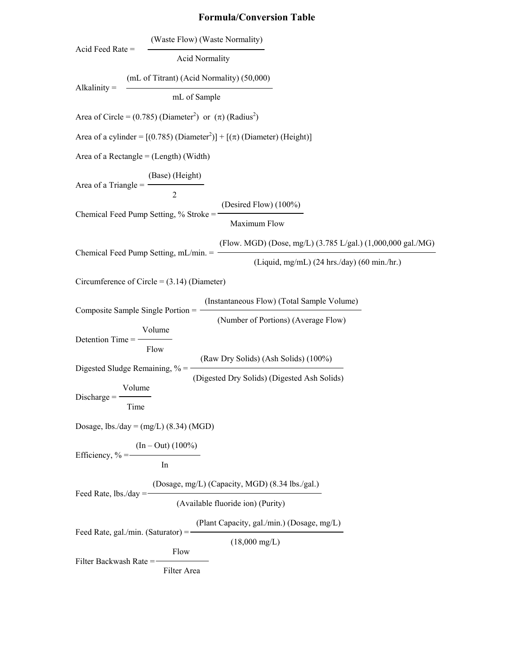## **Formula/Conversion Table**

| Acid Feed Rate $=$                                                                  | (Waste Flow) (Waste Normality)                                                            |  |  |
|-------------------------------------------------------------------------------------|-------------------------------------------------------------------------------------------|--|--|
|                                                                                     | <b>Acid Normality</b>                                                                     |  |  |
| Alkalinity $=$                                                                      | (mL of Titrant) (Acid Normality) (50,000)                                                 |  |  |
|                                                                                     | mL of Sample                                                                              |  |  |
| Area of Circle = (0.785) (Diameter <sup>2</sup> ) or $(\pi)$ (Radius <sup>2</sup> ) |                                                                                           |  |  |
|                                                                                     | Area of a cylinder = $[(0.785)$ (Diameter <sup>2</sup> )] + $[(\pi)$ (Diameter) (Height)] |  |  |
| Area of a Rectangle = $(Length)$ (Width)                                            |                                                                                           |  |  |
| Area of a Triangle $=$                                                              | (Base) (Height)<br>$\overline{2}$                                                         |  |  |
| (Desired Flow) (100%)<br>Chemical Feed Pump Setting, % Stroke =<br>Maximum Flow     |                                                                                           |  |  |
|                                                                                     |                                                                                           |  |  |
| Chemical Feed Pump Setting, mL/min. =                                               | (Liquid, mg/mL) $(24 \text{ hrs.}/\text{day})$ $(60 \text{ min.}/\text{hr.})$             |  |  |
|                                                                                     | Circumference of Circle = $(3.14)$ (Diameter)                                             |  |  |
|                                                                                     | (Instantaneous Flow) (Total Sample Volume)                                                |  |  |
| Composite Sample Single Portion =                                                   | (Number of Portions) (Average Flow)                                                       |  |  |
| Volume<br>Detention Time =                                                          |                                                                                           |  |  |
| Flow<br>(Raw Dry Solids) (Ash Solids) (100%)                                        |                                                                                           |  |  |
| Digested Sludge Remaining, $\%$ =<br>(Digested Dry Solids) (Digested Ash Solids)    |                                                                                           |  |  |
| Volume<br>$Discharge =$                                                             |                                                                                           |  |  |
| Time<br>Dosage, lbs./day = $(mg/L)$ (8.34) (MGD)                                    |                                                                                           |  |  |
|                                                                                     |                                                                                           |  |  |
| Efficiency, $\% = -$                                                                | $(In - Out) (100\%)$<br>I <sub>n</sub>                                                    |  |  |
|                                                                                     | (Dosage, mg/L) (Capacity, MGD) (8.34 lbs./gal.)                                           |  |  |
| Feed Rate, $\frac{1}{s}$ /day =                                                     | (Available fluoride ion) (Purity)                                                         |  |  |
|                                                                                     | (Plant Capacity, gal./min.) (Dosage, mg/L)                                                |  |  |
| Feed Rate, gal./min. (Saturator) =-<br>$(18,000 \text{ mg/L})$<br>Flow              |                                                                                           |  |  |
| Filter Backwash Rate =-                                                             |                                                                                           |  |  |
| Filter Area                                                                         |                                                                                           |  |  |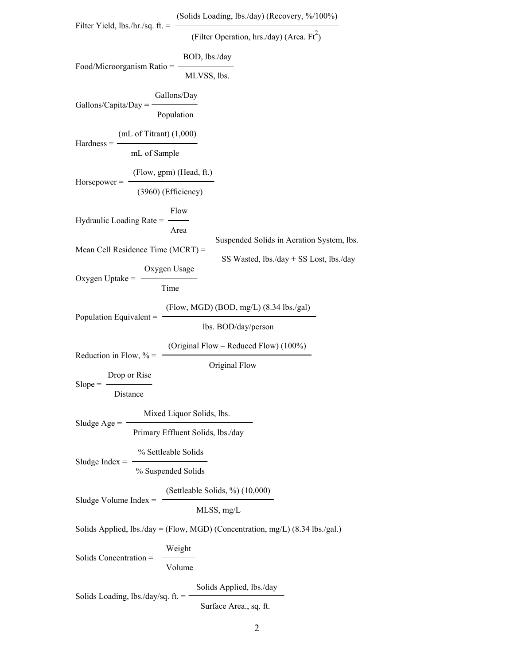|                                                                                           | (Solids Loading, lbs./day) (Recovery, %/100%)                                                              |  |  |
|-------------------------------------------------------------------------------------------|------------------------------------------------------------------------------------------------------------|--|--|
| Filter Yield, lbs./hr./sq. ft. $=$                                                        | (Filter Operation, hrs./day) (Area. Ft <sup>2</sup> )                                                      |  |  |
|                                                                                           | BOD, lbs./day                                                                                              |  |  |
| Food/Microorganism Ratio =                                                                | MLVSS, lbs.                                                                                                |  |  |
| $Gallons/Capita/Day =$                                                                    | Gallons/Day                                                                                                |  |  |
|                                                                                           | Population                                                                                                 |  |  |
| (mL of Titrant) $(1,000)$<br>$Hardness =$                                                 |                                                                                                            |  |  |
| mL of Sample                                                                              |                                                                                                            |  |  |
| (Flow, gpm) (Head, ft.)<br>$Horsepower =$                                                 |                                                                                                            |  |  |
| (3960) (Efficiency)                                                                       |                                                                                                            |  |  |
| Flow<br>Hydraulic Loading Rate $=$ -                                                      |                                                                                                            |  |  |
|                                                                                           | Area<br>Suspended Solids in Aeration System, lbs.                                                          |  |  |
| Mean Cell Residence Time (MCRT) =                                                         | SS Wasted, lbs./day + SS Lost, lbs./day                                                                    |  |  |
| Oxygen Usage<br>Oxygen Uptake $=$                                                         |                                                                                                            |  |  |
| Time                                                                                      |                                                                                                            |  |  |
| $(Flow, MGD)$ (BOD, mg/L) (8.34 lbs./gal)<br>Population Equivalent $=$                    |                                                                                                            |  |  |
| lbs. BOD/day/person                                                                       |                                                                                                            |  |  |
| Reduction in Flow, $\%$ =                                                                 | (Original Flow - Reduced Flow) (100%)                                                                      |  |  |
| Drop or Rise                                                                              | Original Flow                                                                                              |  |  |
| $Slope = -$<br>Distance                                                                   |                                                                                                            |  |  |
|                                                                                           | Mixed Liquor Solids, lbs.                                                                                  |  |  |
| Sludge Age $=$                                                                            | Primary Effluent Solids, lbs./day                                                                          |  |  |
| % Settleable Solids<br>Sludge Index $=$                                                   |                                                                                                            |  |  |
| % Suspended Solids                                                                        |                                                                                                            |  |  |
| Sludge Volume Index $=$                                                                   | (Settleable Solids, %) (10,000)                                                                            |  |  |
|                                                                                           | MLSS, mg/L                                                                                                 |  |  |
|                                                                                           | Solids Applied, $\text{lbs}/\text{day} = (\text{Flow}, \text{MGD})$ (Concentration, mg/L) (8.34 lbs./gal.) |  |  |
| Solids Concentration =                                                                    | Weight                                                                                                     |  |  |
|                                                                                           | Volume                                                                                                     |  |  |
| Solids Applied, lbs./day<br>Solids Loading, lbs./day/sq. $ft =$<br>Surface Area., sq. ft. |                                                                                                            |  |  |